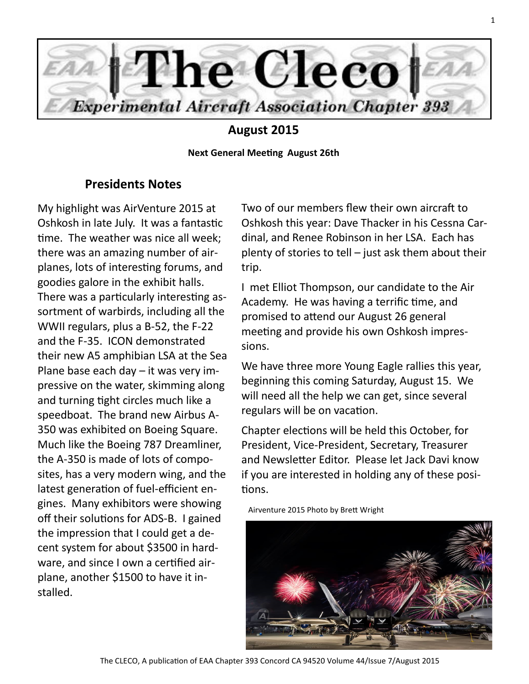

# **August 2015**

**Next General Meeting August 26th**

## **Presidents Notes**

My highlight was AirVenture 2015 at Oshkosh in late July. It was a fantastic time. The weather was nice all week; there was an amazing number of airplanes, lots of interesting forums, and goodies galore in the exhibit halls. There was a particularly interesting assortment of warbirds, including all the WWII regulars, plus a B-52, the F-22 and the F-35. ICON demonstrated their new A5 amphibian LSA at the Sea Plane base each day – it was very impressive on the water, skimming along and turning tight circles much like a speedboat. The brand new Airbus A-350 was exhibited on Boeing Square. Much like the Boeing 787 Dreamliner, the A-350 is made of lots of composites, has a very modern wing, and the latest generation of fuel-efficient engines. Many exhibitors were showing off their solutions for ADS-B. I gained the impression that I could get a decent system for about \$3500 in hardware, and since I own a certified airplane, another \$1500 to have it installed.

Two of our members flew their own aircraft to Oshkosh this year: Dave Thacker in his Cessna Cardinal, and Renee Robinson in her LSA. Each has plenty of stories to tell – just ask them about their trip.

I met Elliot Thompson, our candidate to the Air Academy. He was having a terrific time, and promised to attend our August 26 general meeting and provide his own Oshkosh impressions.

We have three more Young Eagle rallies this year, beginning this coming Saturday, August 15. We will need all the help we can get, since several regulars will be on vacation.

Chapter elections will be held this October, for President, Vice-President, Secretary, Treasurer and Newsletter Editor. Please let Jack Davi know if you are interested in holding any of these positions.

Airventure 2015 Photo by Brett Wright

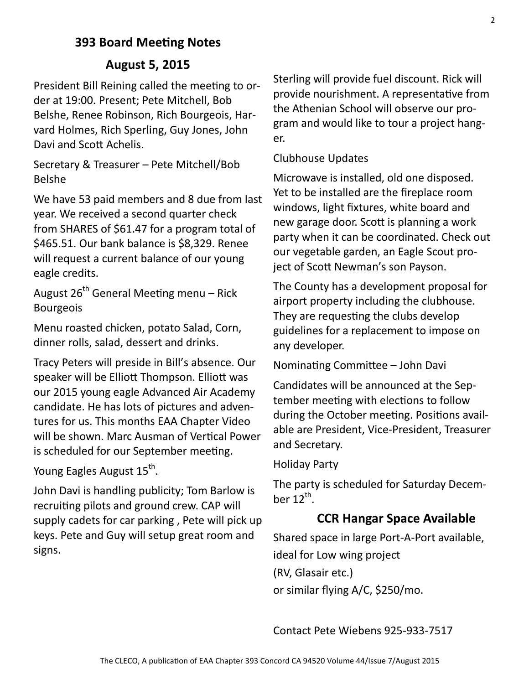# **393 Board Meeting Notes**

## **August 5, 2015**

President Bill Reining called the meeting to order at 19:00. Present; Pete Mitchell, Bob Belshe, Renee Robinson, Rich Bourgeois, Harvard Holmes, Rich Sperling, Guy Jones, John Davi and Scott Achelis.

Secretary & Treasurer – Pete Mitchell/Bob Belshe

We have 53 paid members and 8 due from last year. We received a second quarter check from SHARES of \$61.47 for a program total of \$465.51. Our bank balance is \$8,329. Renee will request a current balance of our young eagle credits.

August  $26<sup>th</sup>$  General Meeting menu – Rick Bourgeois

Menu roasted chicken, potato Salad, Corn, dinner rolls, salad, dessert and drinks.

Tracy Peters will preside in Bill's absence. Our speaker will be Elliott Thompson. Elliott was our 2015 young eagle Advanced Air Academy candidate. He has lots of pictures and adventures for us. This months EAA Chapter Video will be shown. Marc Ausman of Vertical Power is scheduled for our September meeting.

Young Eagles August 15<sup>th</sup>.

John Davi is handling publicity; Tom Barlow is recruiting pilots and ground crew. CAP will supply cadets for car parking , Pete will pick up keys. Pete and Guy will setup great room and signs.

Sterling will provide fuel discount. Rick will provide nourishment. A representative from the Athenian School will observe our program and would like to tour a project hanger.

## Clubhouse Updates

Microwave is installed, old one disposed. Yet to be installed are the fireplace room windows, light fixtures, white board and new garage door. Scott is planning a work party when it can be coordinated. Check out our vegetable garden, an Eagle Scout project of Scott Newman's son Payson.

The County has a development proposal for airport property including the clubhouse. They are requesting the clubs develop guidelines for a replacement to impose on any developer.

Nominating Committee – John Davi

Candidates will be announced at the September meeting with elections to follow during the October meeting. Positions available are President, Vice-President, Treasurer and Secretary.

### Holiday Party

The party is scheduled for Saturday December 12 $<sup>th</sup>$ .</sup>

# **CCR Hangar Space Available**

Shared space in large Port-A-Port available, ideal for Low wing project (RV, Glasair etc.) or similar flying A/C, \$250/mo.

Contact Pete Wiebens 925-933-7517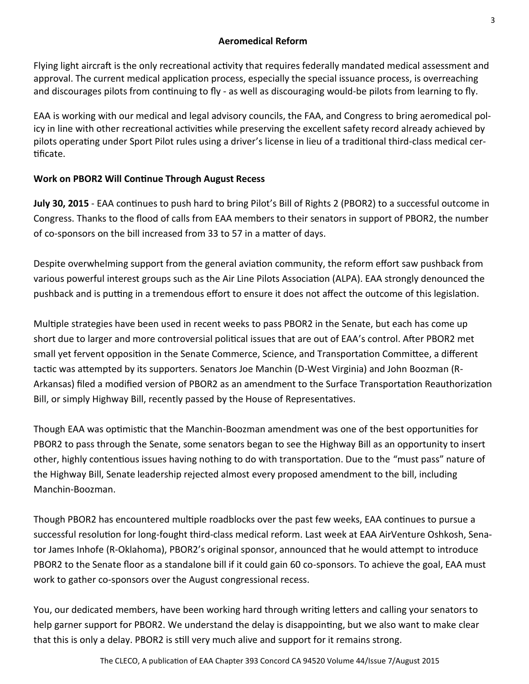## **Aeromedical Reform**

Flying light aircraft is the only recreational activity that requires federally mandated medical assessment and approval. The current medical application process, especially the special issuance process, is overreaching and discourages pilots from continuing to fly - as well as discouraging would-be pilots from learning to fly.

EAA is working with our medical and legal advisory councils, the FAA, and Congress to bring aeromedical policy in line with other recreational activities while preserving the excellent safety record already achieved by pilots operating under Sport Pilot rules using a driver's license in lieu of a traditional third-class medical certificate.

## **Work on PBOR2 Will Continue Through August Recess**

**July 30, 2015** - EAA continues to push hard to bring Pilot's Bill of Rights 2 (PBOR2) to a successful outcome in Congress. Thanks to the flood of calls from EAA members to their senators in support of PBOR2, the number of co-sponsors on the bill increased from 33 to 57 in a matter of days.

Despite overwhelming support from the general aviation community, the reform effort saw pushback from various powerful interest groups such as the Air Line Pilots Association (ALPA). EAA strongly denounced the pushback and is putting in a tremendous effort to ensure it does not affect the outcome of this legislation.

Multiple strategies have been used in recent weeks to pass PBOR2 in the Senate, but each has come up short due to larger and more controversial political issues that are out of EAA's control. After PBOR2 met small yet fervent opposition in the Senate Commerce, Science, and Transportation Committee, a different tactic was attempted by its supporters. Senators Joe Manchin (D-West Virginia) and John Boozman (R-Arkansas) filed a modified version of PBOR2 as an amendment to the Surface Transportation Reauthorization Bill, or simply Highway Bill, recently passed by the House of Representatives.

Though EAA was optimistic that the Manchin-Boozman amendment was one of the best opportunities for PBOR2 to pass through the Senate, some senators began to see the Highway Bill as an opportunity to insert other, highly contentious issues having nothing to do with transportation. Due to the "must pass" nature of the Highway Bill, Senate leadership rejected almost every proposed amendment to the bill, including Manchin-Boozman.

Though PBOR2 has encountered multiple roadblocks over the past few weeks, EAA continues to pursue a successful resolution for long-fought third-class medical reform. Last week at EAA AirVenture Oshkosh, Senator James Inhofe (R-Oklahoma), PBOR2's original sponsor, announced that he would attempt to introduce PBOR2 to the Senate floor as a standalone bill if it could gain 60 co-sponsors. To achieve the goal, EAA must work to gather co-sponsors over the August congressional recess.

You, our dedicated members, have been working hard through writing letters and calling your senators to help garner support for PBOR2. We understand the delay is disappointing, but we also want to make clear that this is only a delay. PBOR2 is still very much alive and support for it remains strong.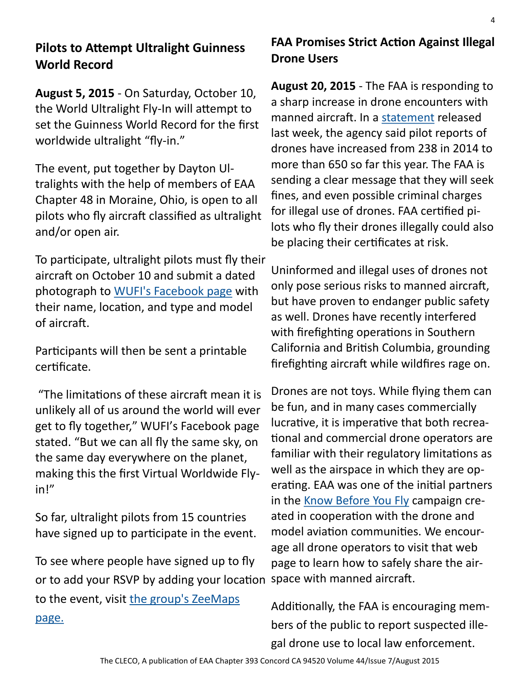# **Pilots to Attempt Ultralight Guinness World Record**

**August 5, 2015** - On Saturday, October 10, the World Ultralight Fly-In will attempt to set the Guinness World Record for the first worldwide ultralight "fly-in."

The event, put together by Dayton Ultralights with the help of members of EAA Chapter 48 in Moraine, Ohio, is open to all pilots who fly aircraft classified as ultralight and/or open air.

To participate, ultralight pilots must fly their aircraft on October 10 and submit a dated photograph to [WUFI's Facebook page](https://www.facebook.com/pages/World-Ultralight-Fly-In/496474843852749?fref=ts) with their name, location, and type and model of aircraft.

Participants will then be sent a printable certificate.

"The limitations of these aircraft mean it is unlikely all of us around the world will ever get to fly together," WUFI's Facebook page stated. "But we can all fly the same sky, on the same day everywhere on the planet, making this the first Virtual Worldwide Flyin!"

So far, ultralight pilots from 15 countries have signed up to participate in the event.

To see where people have signed up to fly or to add your RSVP by adding your location space with manned aircraft. to the event, visit [the group's ZeeMaps](https://www.zeemaps.com/map?group=1558864) 

[page.](https://www.zeemaps.com/map?group=1558864)

# **FAA Promises Strict Action Against Illegal Drone Users**

**August 20, 2015** - The FAA is responding to a sharp increase in drone encounters with manned aircraft. In a [statement](http://www.faa.gov/news/updates/?newsId=83445) released last week, the agency said pilot reports of drones have increased from 238 in 2014 to more than 650 so far this year. The FAA is sending a clear message that they will seek fines, and even possible criminal charges for illegal use of drones. FAA certified pilots who fly their drones illegally could also be placing their certificates at risk.

Uninformed and illegal uses of drones not only pose serious risks to manned aircraft, but have proven to endanger public safety as well. Drones have recently interfered with firefighting operations in Southern California and British Columbia, grounding firefighting aircraft while wildfires rage on.

Drones are not toys. While flying them can be fun, and in many cases commercially lucrative, it is imperative that both recreational and commercial drone operators are familiar with their regulatory limitations as well as the airspace in which they are operating. EAA was one of the initial partners in the [Know Before You Fly](http://knowbeforeyoufly.org/) campaign created in cooperation with the drone and model aviation communities. We encourage all drone operators to visit that web page to learn how to safely share the air-

Additionally, the FAA is encouraging members of the public to report suspected illegal drone use to local law enforcement.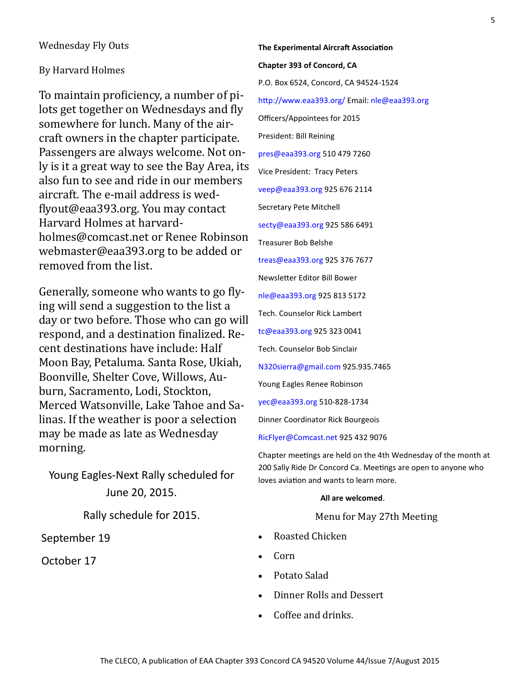### Wednesday Fly Outs

#### By Harvard Holmes

To maintain proficiency, a number of pilots get together on Wednesdays and fly somewhere for lunch. Many of the aircraft owners in the chapter participate. Passengers are always welcome. Not only is it a great way to see the Bay Area, its also fun to see and ride in our members aircraft. The e-mail address is wedflyout@eaa393.org. You may contact Harvard Holmes at harvardholmes@comcast.net or Renee Robinson webmaster@eaa393.org to be added or removed from the list.

Generally, someone who wants to go flying will send a suggestion to the list a day or two before. Those who can go will respond, and a destination finalized. Recent destinations have include: Half Moon Bay, Petaluma. Santa Rose, Ukiah, Boonville, Shelter Cove, Willows, Auburn, Sacramento, Lodi, Stockton, Merced Watsonville, Lake Tahoe and Salinas. If the weather is poor a selection may be made as late as Wednesday morning.

Young Eagles-Next Rally scheduled for June 20, 2015.

Rally schedule for 2015.

September 19

October 17

**The Experimental Aircraft Association Chapter 393 of Concord, CA** P.O. Box 6524, Concord, CA 94524-1524 http://www.eaa393.org/ Email: nle@eaa393.org Officers/Appointees for 2015 President: Bill Reining pres@eaa393.org 510 479 7260 Vice President: Tracy Peters veep@eaa393.org 925 676 2114 Secretary Pete Mitchell secty@eaa393.org 925 586 6491 Treasurer Bob Belshe treas@eaa393.org 925 376 7677 Newsletter Editor Bill Bower nle@eaa393.org 925 813 5172 Tech. Counselor Rick Lambert tc@eaa393.org 925 323 0041 Tech. Counselor Bob Sinclair N320sierra@gmail.com 925.935.7465 Young Eagles Renee Robinson yec@eaa393.org 510-828-1734

Dinner Coordinator Rick Bourgeois

RicFlyer@Comcast.net 925 432 9076

Chapter meetings are held on the 4th Wednesday of the month at 200 Sally Ride Dr Concord Ca. Meetings are open to anyone who loves aviation and wants to learn more.

#### **All are welcomed**.

#### Menu for May 27th Meeting

- Roasted Chicken
- Corn
- Potato Salad
- Dinner Rolls and Dessert
- Coffee and drinks.